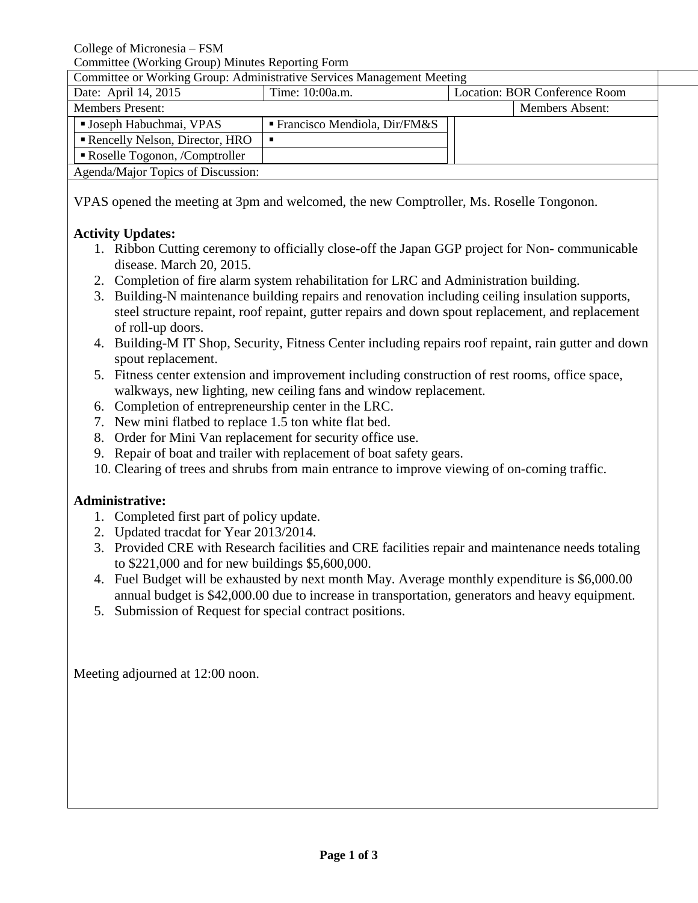College of Micronesia – FSM

Committee (Working Group) Minutes Reporting Form

Committee or Working Group: Administrative Services Management Meeting

| COMMITTEE OF WORKING OF OUR AND A KINDING THE VICE OF VICE INTERNATIONAL INTERNATIONAL PROPERTY. |                                         |                               |  |
|--------------------------------------------------------------------------------------------------|-----------------------------------------|-------------------------------|--|
| Date: April 14, 2015                                                                             | Time: 10:00a.m.                         | Location: BOR Conference Room |  |
| <b>Members Present:</b>                                                                          |                                         | <b>Members Absent:</b>        |  |
| <b>Joseph Habuchmai, VPAS</b>                                                                    | <b>Francisco Mendiola, Dir/FM&amp;S</b> |                               |  |
| Rencelly Nelson, Director, HRO                                                                   |                                         |                               |  |
| Roselle Togonon, /Comptroller                                                                    |                                         |                               |  |
| Agenda/Major Topics of Discussion:                                                               |                                         |                               |  |
|                                                                                                  |                                         |                               |  |

VPAS opened the meeting at 3pm and welcomed, the new Comptroller, Ms. Roselle Tongonon.

## **Activity Updates:**

- 1. Ribbon Cutting ceremony to officially close-off the Japan GGP project for Non- communicable disease. March 20, 2015.
- 2. Completion of fire alarm system rehabilitation for LRC and Administration building.
- 3. Building-N maintenance building repairs and renovation including ceiling insulation supports, steel structure repaint, roof repaint, gutter repairs and down spout replacement, and replacement of roll-up doors.
- 4. Building-M IT Shop, Security, Fitness Center including repairs roof repaint, rain gutter and down spout replacement.
- 5. Fitness center extension and improvement including construction of rest rooms, office space, walkways, new lighting, new ceiling fans and window replacement.
- 6. Completion of entrepreneurship center in the LRC.
- 7. New mini flatbed to replace 1.5 ton white flat bed.
- 8. Order for Mini Van replacement for security office use.
- 9. Repair of boat and trailer with replacement of boat safety gears.
- 10. Clearing of trees and shrubs from main entrance to improve viewing of on-coming traffic.

## **Administrative:**

- 1. Completed first part of policy update.
- 2. Updated tracdat for Year 2013/2014.
- 3. Provided CRE with Research facilities and CRE facilities repair and maintenance needs totaling to \$221,000 and for new buildings \$5,600,000.
- 4. Fuel Budget will be exhausted by next month May. Average monthly expenditure is \$6,000.00 annual budget is \$42,000.00 due to increase in transportation, generators and heavy equipment.
- 5. Submission of Request for special contract positions.

Meeting adjourned at 12:00 noon.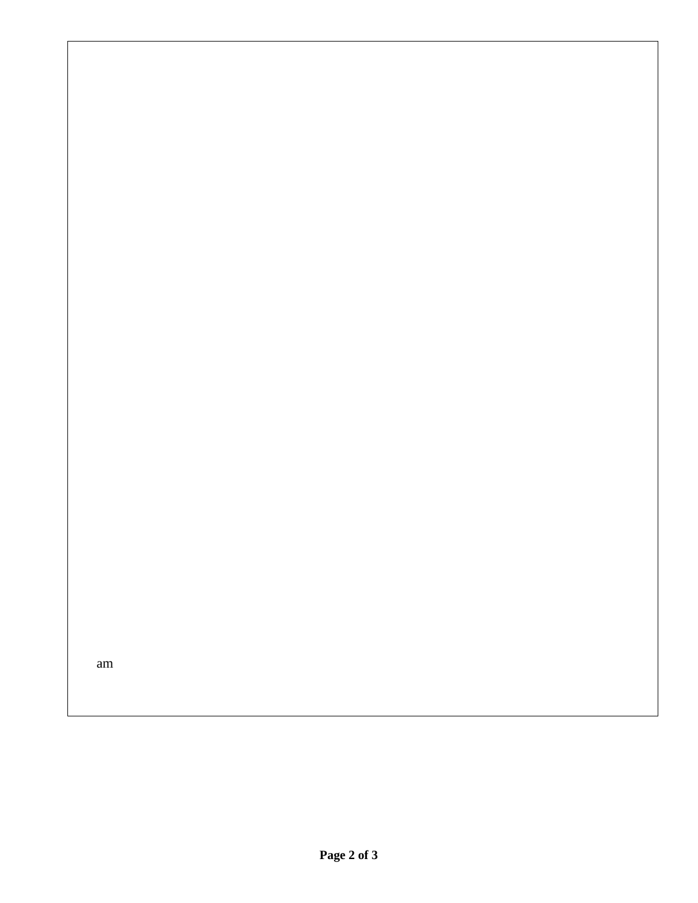am